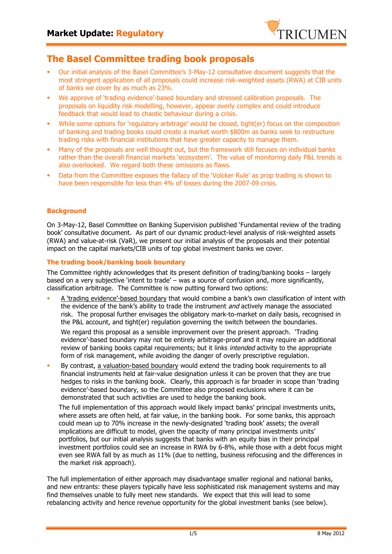

# **The Basel Committee trading book proposals**

- § Our initial analysis of the Basel Committee's 3-May-12 consultative document suggests that the most stringent application of all proposals could increase risk-weighted assets (RWA) at CIB units of banks we cover by as much as 23%.
- § We approve of 'trading evidence'-based boundary and stressed calibration proposals. The proposals on liquidity risk modelling, however, appear overly complex and could introduce feedback that would lead to chaotic behaviour during a crisis.
- While some options for 'regulatory arbitrage' would be closed, tight(er) focus on the composition of banking and trading books could create a market worth \$800m as banks seek to restructure trading risks with financial institutions that have greater capacity to manage them.
- Many of the proposals are well thought out, but the framework still focuses on individual banks rather than the overall financial markets 'ecosystem'. The value of monitoring daily P&L trends is also overlooked. We regard both these omissions as flaws.
- Data from the Committee exposes the fallacy of the 'Volcker Rule' as prop trading is shown to have been responsible for less than 4% of losses during the 2007-09 crisis.

## **Background**

On 3-May-12, Basel Committee on Banking Supervision published 'Fundamental review of the trading book' consultative document. As part of our dynamic product-level analysis of risk-weighted assets (RWA) and value-at-risk (VaR), we present our initial analysis of the proposals and their potential impact on the capital markets/CIB units of top global investment banks we cover.

## **The trading book/banking book boundary**

The Committee rightly acknowledges that its present definition of trading/banking books – largely based on a very subjective 'intent to trade' – was a source of confusion and, more significantly, classification arbitrage. The Committee is now putting forward two options:

A 'trading evidence'-based boundary that would combine a bank's own classification of intent with the evidence of the bank's ability to trade the instrument *and* actively manage the associated risk. The proposal further envisages the obligatory mark-to-market on daily basis, recognised in the P&L account, and tight(er) regulation governing the switch between the boundaries.

We regard this proposal as a sensible improvement over the present approach. 'Trading evidence'-based boundary may not be entirely arbitrage-proof and it may require an additional review of banking books capital requirements; but it links intended activity to the appropriate form of risk management, while avoiding the danger of overly prescriptive regulation.

By contrast, a valuation-based boundary would extend the trading book requirements to all financial instruments held at fair-value designation unless it can be proven that they are true hedges to risks in the banking book. Clearly, this approach is far broader in scope than 'trading evidence'-based boundary, so the Committee also proposed exclusions where it can be demonstrated that such activities are used to hedge the banking book.

The full implementation of this approach would likely impact banks' principal investments units, where assets are often held, at fair value, in the banking book. For some banks, this approach could mean up to 70% increase in the newly-designated 'trading book' assets; the overall implications are difficult to model, given the opacity of many principal investments units' portfolios, but our initial analysis suggests that banks with an equity bias in their principal investment portfolios could see an increase in RWA by 6-8%, while those with a debt focus might even see RWA fall by as much as 11% (due to netting, business refocusing and the differences in the market risk approach).

The full implementation of either approach may disadvantage smaller regional and national banks, and new entrants: these players typically have less sophisticated risk management systems and may find themselves unable to fully meet new standards. We expect that this will lead to some rebalancing activity and hence revenue opportunity for the global investment banks (see below).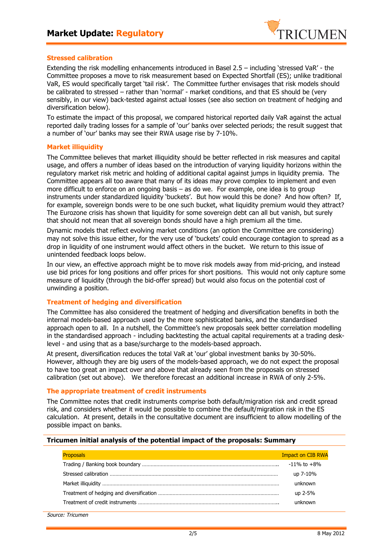

## **Stressed calibration**

Extending the risk modelling enhancements introduced in Basel 2.5 – including 'stressed VaR' - the Committee proposes a move to risk measurement based on Expected Shortfall (ES); unlike traditional VaR, ES would specifically target 'tail risk'. The Committee further envisages that risk models should be calibrated to stressed – rather than 'normal' - market conditions, and that ES should be (very sensibly, in our view) back-tested against actual losses (see also section on treatment of hedging and diversification below).

To estimate the impact of this proposal, we compared historical reported daily VaR against the actual reported daily trading losses for a sample of 'our' banks over selected periods; the result suggest that a number of 'our' banks may see their RWA usage rise by 7-10%.

## **Market illiquidity**

The Committee believes that market illiquidity should be better reflected in risk measures and capital usage, and offers a number of ideas based on the introduction of varying liquidity horizons within the regulatory market risk metric and holding of additional capital against jumps in liquidity premia. The Committee appears all too aware that many of its ideas may prove complex to implement and even more difficult to enforce on an ongoing basis – as do we. For example, one idea is to group instruments under standardized liquidity 'buckets'. But how would this be done? And how often? If, for example, sovereign bonds were to be one such bucket, what liquidity premium would they attract? The Eurozone crisis has shown that liquidity for some sovereign debt can all but vanish, but surely that should not mean that all sovereign bonds should have a high premium all the time.

Dynamic models that reflect evolving market conditions (an option the Committee are considering) may not solve this issue either, for the very use of 'buckets' could encourage contagion to spread as a drop in liquidity of one instrument would affect others in the bucket. We return to this issue of unintended feedback loops below.

In our view, an effective approach might be to move risk models away from mid-pricing, and instead use bid prices for long positions and offer prices for short positions. This would not only capture some measure of liquidity (through the bid-offer spread) but would also focus on the potential cost of unwinding a position.

## **Treatment of hedging and diversification**

The Committee has also considered the treatment of hedging and diversification benefits in both the internal models-based approach used by the more sophisticated banks, and the standardised approach open to all. In a nutshell, the Committee's new proposals seek better correlation modelling in the standardised approach - including backtesting the actual capital requirements at a trading desklevel - and using that as a base/surcharge to the models-based approach.

At present, diversification reduces the total VaR at 'our' global investment banks by 30-50%. However, although they are big users of the models-based approach, we do not expect the proposal to have too great an impact over and above that already seen from the proposals on stressed calibration (set out above). We therefore forecast an additional increase in RWA of only 2-5%.

## **The appropriate treatment of credit instruments**

The Committee notes that credit instruments comprise both default/migration risk and credit spread risk, and considers whether it would be possible to combine the default/migration risk in the ES calculation. At present, details in the consultative document are insufficient to allow modelling of the possible impact on banks.

#### **Tricumen initial analysis of the potential impact of the proposals: Summary**

| Proposals | <b>Impact on CIB RWA</b> |
|-----------|--------------------------|
|           | $-11\%$ to $+8\%$        |
|           | up 7-10%                 |
|           | unknown                  |
|           | up 2-5%                  |
|           | unknown                  |
|           |                          |

Source: Tricumen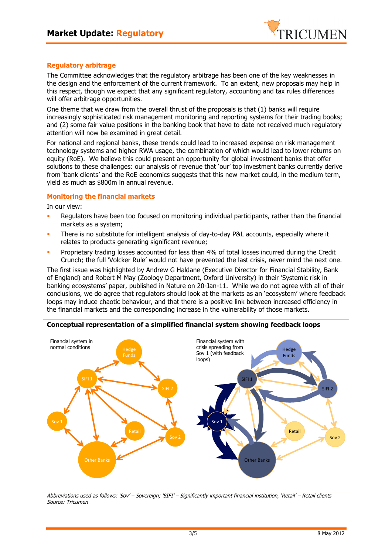

## **Regulatory arbitrage**

The Committee acknowledges that the regulatory arbitrage has been one of the key weaknesses in the design and the enforcement of the current framework. To an extent, new proposals may help in this respect, though we expect that any significant regulatory, accounting and tax rules differences will offer arbitrage opportunities.

One theme that we draw from the overall thrust of the proposals is that (1) banks will require increasingly sophisticated risk management monitoring and reporting systems for their trading books; and (2) some fair value positions in the banking book that have to date not received much regulatory attention will now be examined in great detail.

For national and regional banks, these trends could lead to increased expense on risk management technology systems and higher RWA usage, the combination of which would lead to lower returns on equity (RoE). We believe this could present an opportunity for global investment banks that offer solutions to these challenges: our analysis of revenue that 'our' top investment banks currently derive from 'bank clients' and the RoE economics suggests that this new market could, in the medium term, yield as much as \$800m in annual revenue.

## **Monitoring the financial markets**

In our view:

- Regulators have been too focused on monitoring individual participants, rather than the financial markets as a system;
- There is no substitute for intelligent analysis of day-to-day P&L accounts, especially where it relates to products generating significant revenue;
- **•** Proprietary trading losses accounted for less than 4% of total losses incurred during the Credit Crunch; the full 'Volcker Rule' would not have prevented the last crisis, never mind the next one.

The first issue was highlighted by Andrew G Haldane (Executive Director for Financial Stability, Bank of England) and Robert M May (Zoology Department, Oxford University) in their 'Systemic risk in banking ecosystems' paper, published in Nature on 20-Jan-11. While we do not agree with all of their conclusions, we do agree that regulators should look at the markets as an 'ecosystem' where feedback loops may induce chaotic behaviour, and that there is a positive link between increased efficiency in the financial markets and the corresponding increase in the vulnerability of those markets.



#### **Conceptual representation of a simplified financial system showing feedback loops**

Abbreviations used as follows: 'Sov' – Sovereign; 'SIFI' – Significantly important financial institution, 'Retail' – Retail clients Source: Tricumen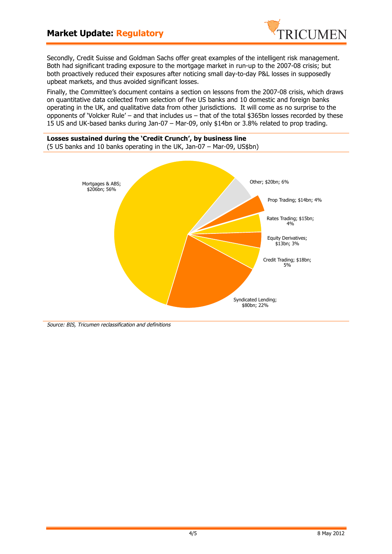# **Market Update: Regulatory**



Secondly, Credit Suisse and Goldman Sachs offer great examples of the intelligent risk management. Both had significant trading exposure to the mortgage market in run-up to the 2007-08 crisis; but both proactively reduced their exposures after noticing small day-to-day P&L losses in supposedly upbeat markets, and thus avoided significant losses.

Finally, the Committee's document contains a section on lessons from the 2007-08 crisis, which draws on quantitative data collected from selection of five US banks and 10 domestic and foreign banks operating in the UK, and qualitative data from other jurisdictions. It will come as no surprise to the opponents of 'Volcker Rule' – and that includes us – that of the total \$365bn losses recorded by these 15 US and UK-based banks during Jan-07 – Mar-09, only \$14bn or 3.8% related to prop trading.



Source: BIS, Tricumen reclassification and definitions